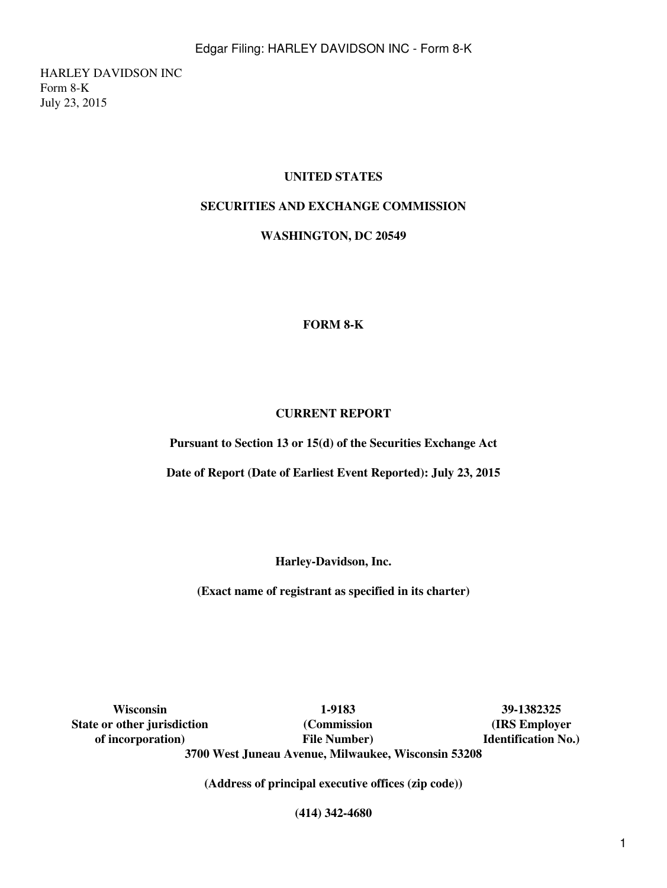HARLEY DAVIDSON INC Form 8-K July 23, 2015

# **UNITED STATES**

# **SECURITIES AND EXCHANGE COMMISSION**

**WASHINGTON, DC 20549**

#### **FORM 8-K**

#### **CURRENT REPORT**

**Pursuant to Section 13 or 15(d) of the Securities Exchange Act**

**Date of Report (Date of Earliest Event Reported): July 23, 2015**

**Harley-Davidson, Inc.**

**(Exact name of registrant as specified in its charter)**

**State or other jurisdiction of incorporation)**

**Wisconsin 1-9183 39-1382325 (Commission File Number) 3700 West Juneau Avenue, Milwaukee, Wisconsin 53208**

**(IRS Employer Identification No.)**

**(Address of principal executive offices (zip code))**

**(414) 342-4680**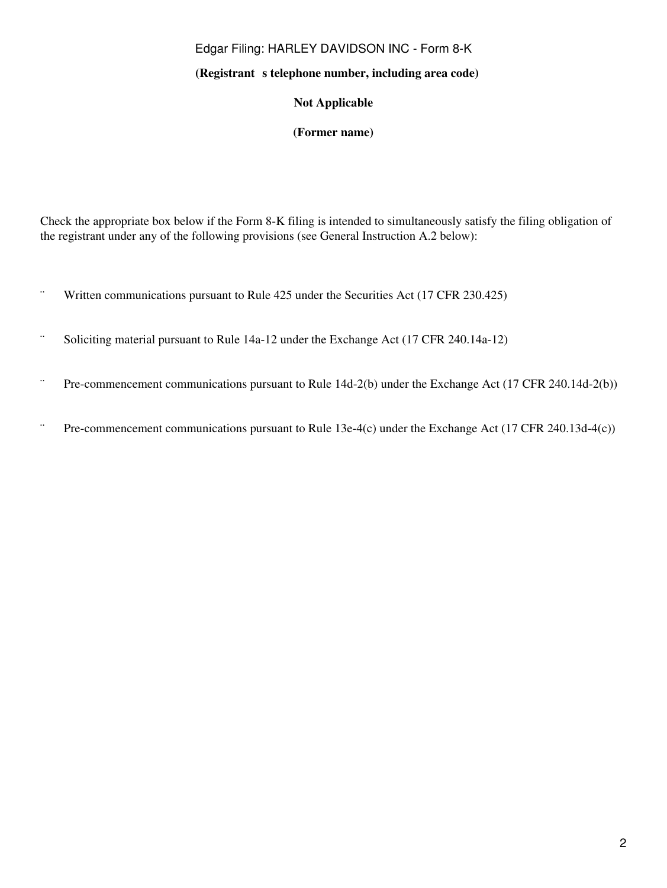# Edgar Filing: HARLEY DAVIDSON INC - Form 8-K

#### (Registrant s telephone number, including area code)

## **Not Applicable**

#### **(Former name)**

Check the appropriate box below if the Form 8-K filing is intended to simultaneously satisfy the filing obligation of the registrant under any of the following provisions (see General Instruction A.2 below):

- ¨ Written communications pursuant to Rule 425 under the Securities Act (17 CFR 230.425)
- ¨ Soliciting material pursuant to Rule 14a-12 under the Exchange Act (17 CFR 240.14a-12)
- ¨ Pre-commencement communications pursuant to Rule 14d-2(b) under the Exchange Act (17 CFR 240.14d-2(b))
- ¨ Pre-commencement communications pursuant to Rule 13e-4(c) under the Exchange Act (17 CFR 240.13d-4(c))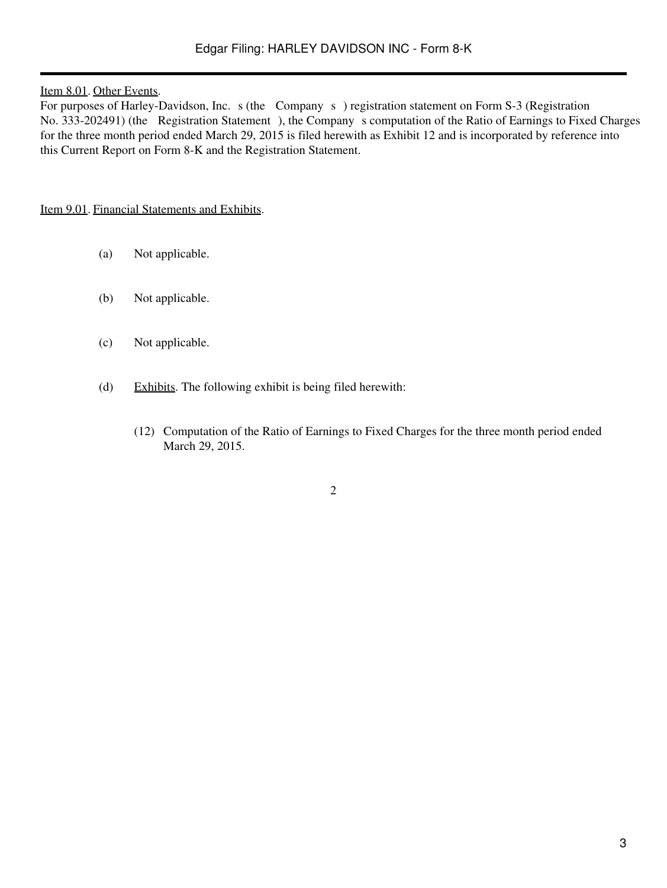#### Item 8.01. Other Events.

For purposes of Harley-Davidson, Inc. s (the Company s) registration statement on Form S-3 (Registration No. 333-202491) (the Registration Statement), the Company s computation of the Ratio of Earnings to Fixed Charges for the three month period ended March 29, 2015 is filed herewith as Exhibit 12 and is incorporated by reference into this Current Report on Form 8-K and the Registration Statement.

#### Item 9.01. Financial Statements and Exhibits.

- (a) Not applicable.
- (b) Not applicable.
- (c) Not applicable.
- (d) Exhibits. The following exhibit is being filed herewith:
	- (12) Computation of the Ratio of Earnings to Fixed Charges for the three month period ended March 29, 2015.

2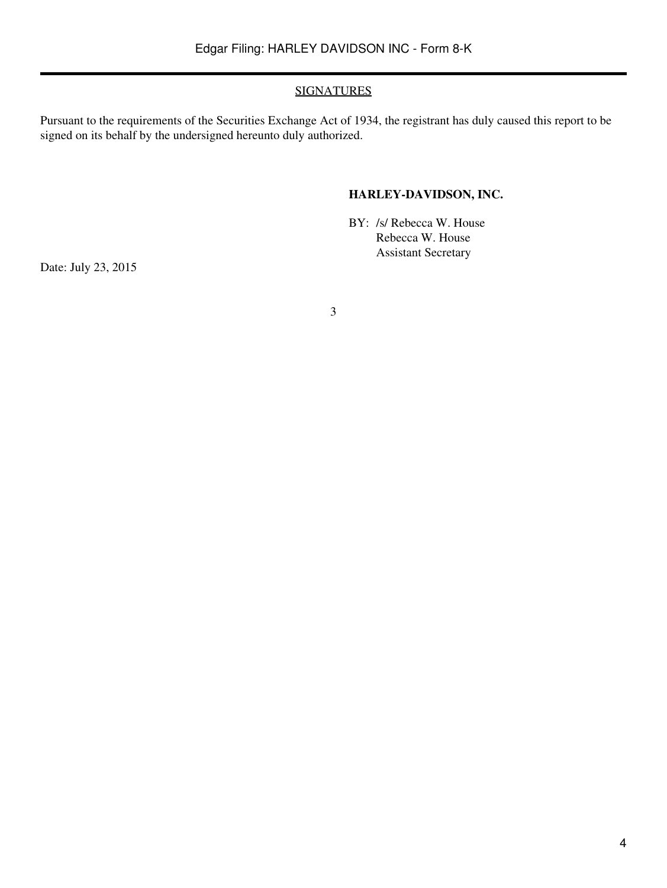### SIGNATURES

Pursuant to the requirements of the Securities Exchange Act of 1934, the registrant has duly caused this report to be signed on its behalf by the undersigned hereunto duly authorized.

# **HARLEY-DAVIDSON, INC.**

BY: /s/ Rebecca W. House Rebecca W. House Assistant Secretary

Date: July 23, 2015

3